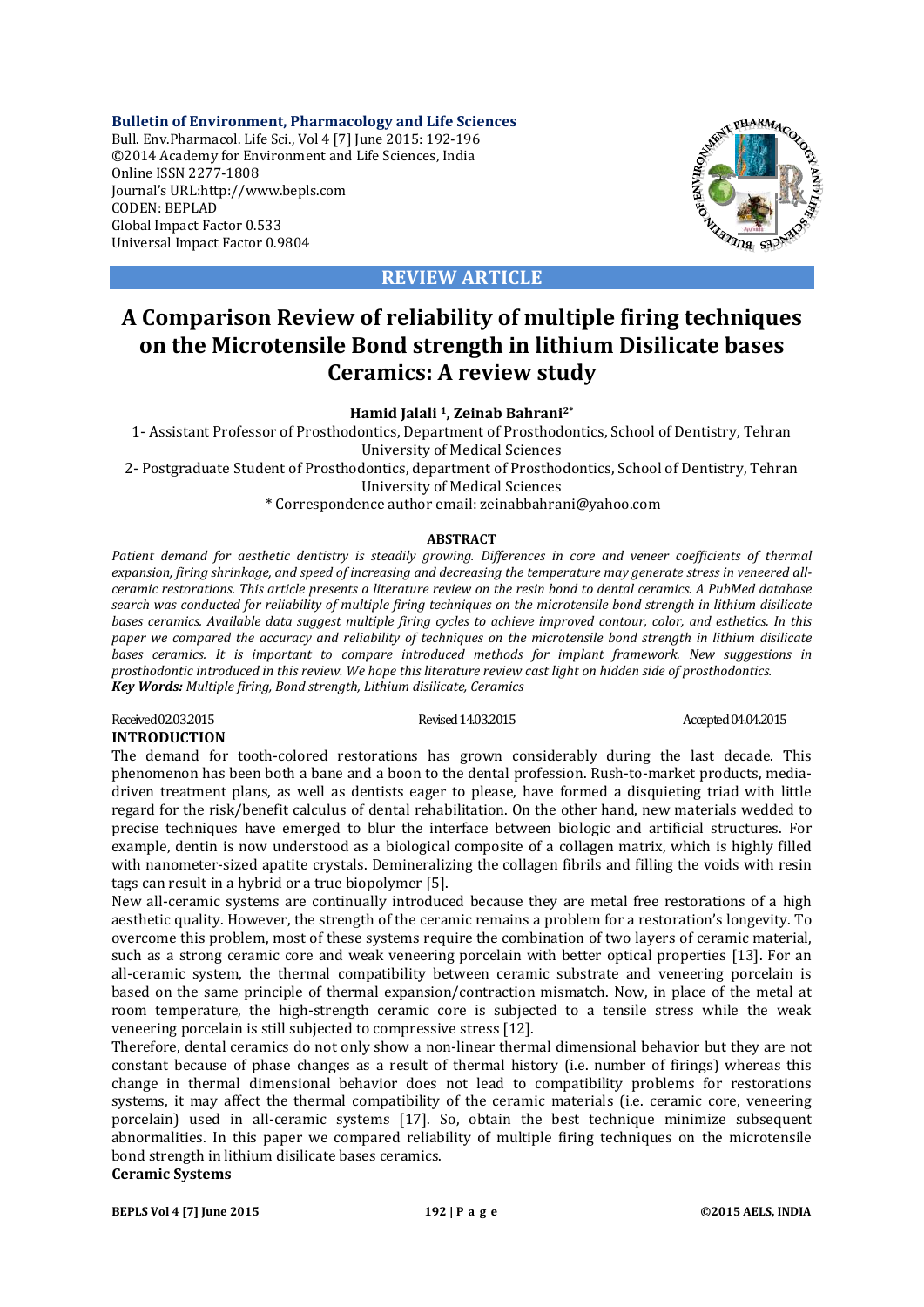**Bulletin of Environment, Pharmacology and Life Sciences** Bull. Env.Pharmacol. Life Sci., Vol 4 [7] June 2015: 192-196 ©2014 Academy for Environment and Life Sciences, India Online ISSN 2277-1808 Journal's URL:http://www.bepls.com CODEN: BEPLAD Global Impact Factor 0.533 Universal Impact Factor 0.9804



### **REVIEW ARTICLE**

## **A Comparison Review of reliability of multiple firing techniques on the Microtensile Bond strength in lithium Disilicate bases Ceramics: A review study**

#### **Hamid Jalali 1, Zeinab Bahrani2\***

1- Assistant Professor of Prosthodontics, Department of Prosthodontics, School of Dentistry, Tehran University of Medical Sciences

2- Postgraduate Student of Prosthodontics, department of Prosthodontics, School of Dentistry, Tehran University of Medical Sciences

\* Correspondence author email: zeinabbahrani@yahoo.com

#### **ABSTRACT**

*Patient demand for aesthetic dentistry is steadily growing. Differences in core and veneer coefficients of thermal expansion, firing shrinkage, and speed of increasing and decreasing the temperature may generate stress in veneered allceramic restorations. This article presents a literature review on the resin bond to dental ceramics. A PubMed database search was conducted for reliability of multiple firing techniques on the microtensile bond strength in lithium disilicate bases ceramics. Available data suggest multiple firing cycles to achieve improved contour, color, and esthetics. In this paper we compared the accuracy and reliability of techniques on the microtensile bond strength in lithium disilicate bases ceramics. It is important to compare introduced methods for implant framework. New suggestions in prosthodontic introduced in this review. We hope this literature review cast light on hidden side of prosthodontics. Key Words: Multiple firing, Bond strength, Lithium disilicate, Ceramics*

Received 02.03.2015 Revised 14.03.2015 Revised 14.03.2015 Accepted 04.04.2015 **INTRODUCTION**

# The demand for tooth-colored restorations has grown considerably during the last decade. This

phenomenon has been both a bane and a boon to the dental profession. Rush-to-market products, mediadriven treatment plans, as well as dentists eager to please, have formed a disquieting triad with little regard for the risk/benefit calculus of dental rehabilitation. On the other hand, new materials wedded to precise techniques have emerged to blur the interface between biologic and artificial structures. For example, dentin is now understood as a biological composite of a collagen matrix, which is highly filled with nanometer-sized apatite crystals. Demineralizing the collagen fibrils and filling the voids with resin tags can result in a hybrid or a true biopolymer [5].

New all-ceramic systems are continually introduced because they are metal free restorations of a high aesthetic quality. However, the strength of the ceramic remains a problem for a restoration's longevity. To overcome this problem, most of these systems require the combination of two layers of ceramic material, such as a strong ceramic core and weak veneering porcelain with better optical properties [13]. For an all-ceramic system, the thermal compatibility between ceramic substrate and veneering porcelain is based on the same principle of thermal expansion/contraction mismatch. Now, in place of the metal at room temperature, the high-strength ceramic core is subjected to a tensile stress while the weak veneering porcelain is still subjected to compressive stress [12].

Therefore, dental ceramics do not only show a non-linear thermal dimensional behavior but they are not constant because of phase changes as a result of thermal history (i.e. number of firings) whereas this change in thermal dimensional behavior does not lead to compatibility problems for restorations systems, it may affect the thermal compatibility of the ceramic materials (i.e. ceramic core, veneering porcelain) used in all-ceramic systems [17]. So, obtain the best technique minimize subsequent abnormalities. In this paper we compared reliability of multiple firing techniques on the microtensile bond strength in lithium disilicate bases ceramics. **Ceramic Systems**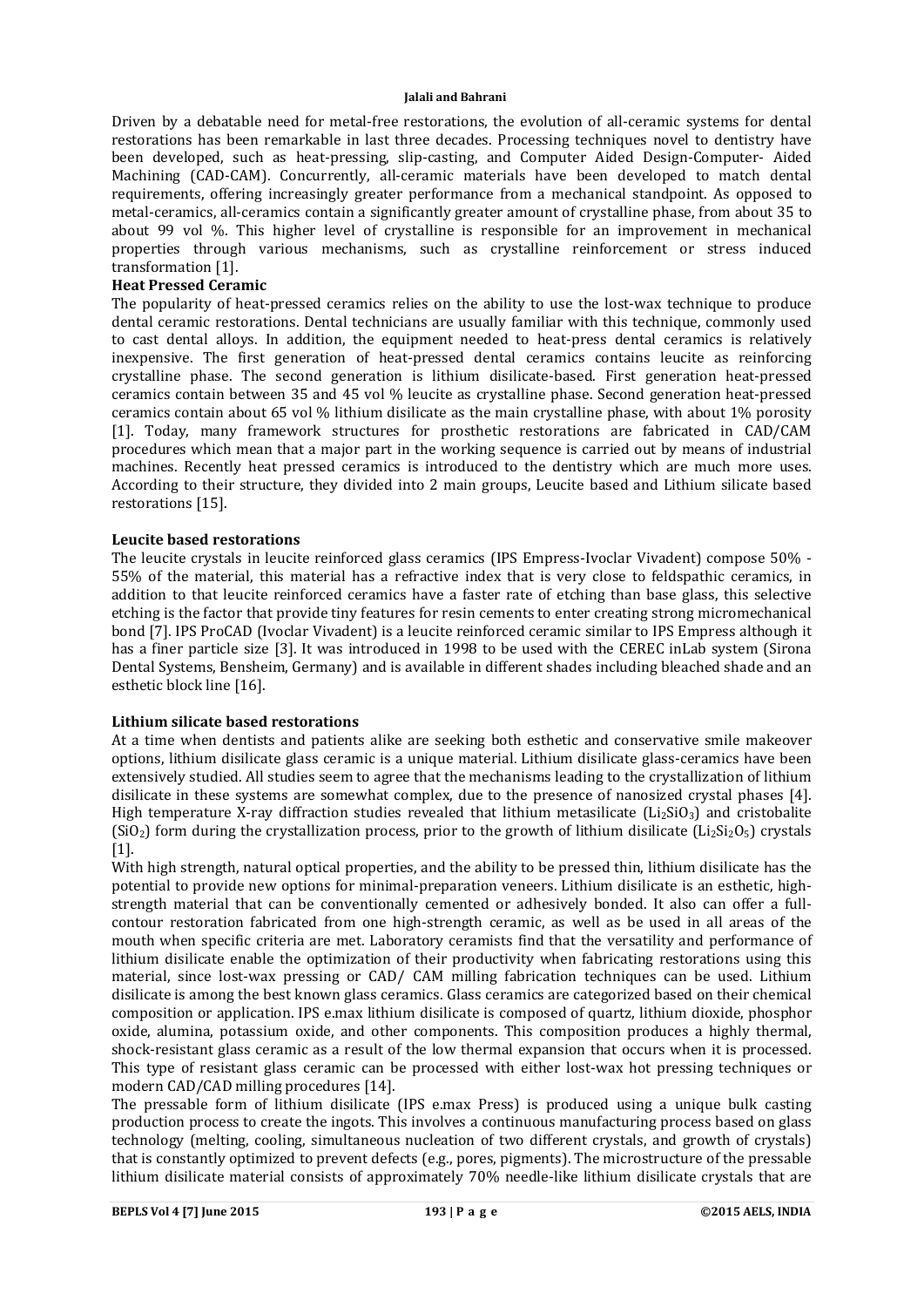Driven by a debatable need for metal-free restorations, the evolution of all-ceramic systems for dental restorations has been remarkable in last three decades. Processing techniques novel to dentistry have been developed, such as heat-pressing, slip-casting, and Computer Aided Design-Computer- Aided Machining (CAD-CAM). Concurrently, all-ceramic materials have been developed to match dental requirements, offering increasingly greater performance from a mechanical standpoint. As opposed to metal-ceramics, all-ceramics contain a significantly greater amount of crystalline phase, from about 35 to about 99 vol %. This higher level of crystalline is responsible for an improvement in mechanical properties through various mechanisms, such as crystalline reinforcement or stress induced transformation [1].

#### **Heat Pressed Ceramic**

The popularity of heat-pressed ceramics relies on the ability to use the lost-wax technique to produce dental ceramic restorations. Dental technicians are usually familiar with this technique, commonly used to cast dental alloys. In addition, the equipment needed to heat-press dental ceramics is relatively inexpensive. The first generation of heat-pressed dental ceramics contains leucite as reinforcing crystalline phase. The second generation is lithium disilicate-based. First generation heat-pressed ceramics contain between 35 and 45 vol % leucite as crystalline phase. Second generation heat-pressed ceramics contain about 65 vol % lithium disilicate as the main crystalline phase, with about 1% porosity [1]. Today, many framework structures for prosthetic restorations are fabricated in CAD/CAM procedures which mean that a major part in the working sequence is carried out by means of industrial machines. Recently heat pressed ceramics is introduced to the dentistry which are much more uses. According to their structure, they divided into 2 main groups, Leucite based and Lithium silicate based restorations [15].

#### **Leucite based restorations**

The leucite crystals in leucite reinforced glass ceramics (IPS Empress-Ivoclar Vivadent) compose 50% - 55% of the material, this material has a refractive index that is very close to feldspathic ceramics, in addition to that leucite reinforced ceramics have a faster rate of etching than base glass, this selective etching is the factor that provide tiny features for resin cements to enter creating strong micromechanical bond [7]. IPS ProCAD (Ivoclar Vivadent) is a leucite reinforced ceramic similar to IPS Empress although it has a finer particle size [3]. It was introduced in 1998 to be used with the CEREC inLab system (Sirona Dental Systems, Bensheim, Germany) and is available in different shades including bleached shade and an esthetic block line [16].

#### **Lithium silicate based restorations**

At a time when dentists and patients alike are seeking both esthetic and conservative smile makeover options, lithium disilicate glass ceramic is a unique material. Lithium disilicate glass-ceramics have been extensively studied. All studies seem to agree that the mechanisms leading to the crystallization of lithium disilicate in these systems are somewhat complex, due to the presence of nanosized crystal phases [4]. High temperature X-ray diffraction studies revealed that lithium metasilicate  $(LizSiO<sub>3</sub>)$  and cristobalite (SiO<sub>2</sub>) form during the crystallization process, prior to the growth of lithium disilicate (Li<sub>2</sub>Si<sub>2</sub>O<sub>5</sub>) crystals [1].

With high strength, natural optical properties, and the ability to be pressed thin, lithium disilicate has the potential to provide new options for minimal-preparation veneers. Lithium disilicate is an esthetic, highstrength material that can be conventionally cemented or adhesively bonded. It also can offer a fullcontour restoration fabricated from one high-strength ceramic, as well as be used in all areas of the mouth when specific criteria are met. Laboratory ceramists find that the versatility and performance of lithium disilicate enable the optimization of their productivity when fabricating restorations using this material, since lost-wax pressing or CAD/ CAM milling fabrication techniques can be used. Lithium disilicate is among the best known glass ceramics. Glass ceramics are categorized based on their chemical composition or application. IPS e.max lithium disilicate is composed of quartz, lithium dioxide, phosphor oxide, alumina, potassium oxide, and other components. This composition produces a highly thermal, shock-resistant glass ceramic as a result of the low thermal expansion that occurs when it is processed. This type of resistant glass ceramic can be processed with either lost-wax hot pressing techniques or modern CAD/CAD milling procedures [14].

The pressable form of lithium disilicate (IPS e.max Press) is produced using a unique bulk casting production process to create the ingots. This involves a continuous manufacturing process based on glass technology (melting, cooling, simultaneous nucleation of two different crystals, and growth of crystals) that is constantly optimized to prevent defects (e.g., pores, pigments). The microstructure of the pressable lithium disilicate material consists of approximately 70% needle-like lithium disilicate crystals that are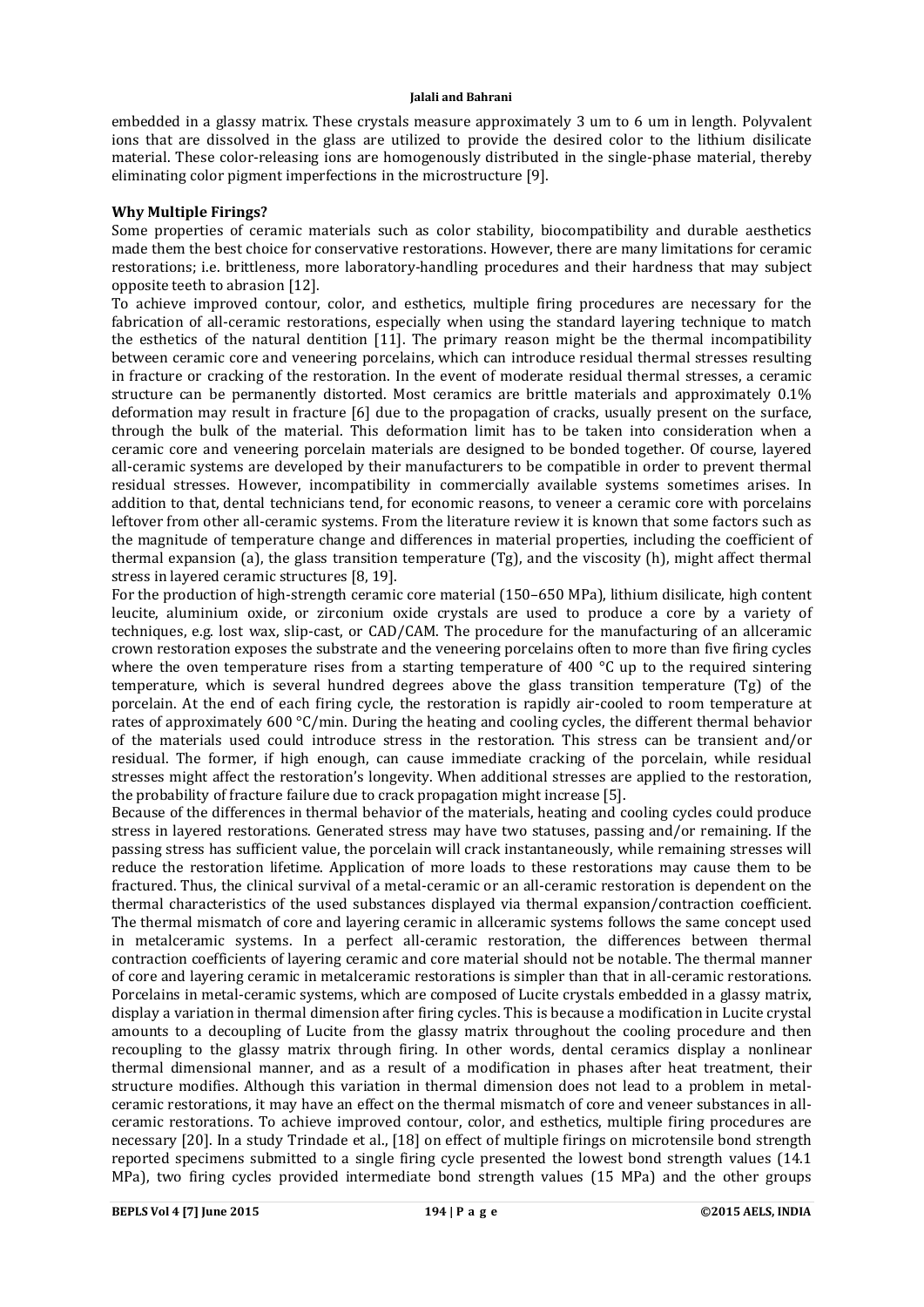embedded in a glassy matrix. These crystals measure approximately 3 um to 6 um in length. Polyvalent ions that are dissolved in the glass are utilized to provide the desired color to the lithium disilicate material. These color-releasing ions are homogenously distributed in the single-phase material, thereby eliminating color pigment imperfections in the microstructure [9].

#### **Why Multiple Firings?**

Some properties of ceramic materials such as color stability, biocompatibility and durable aesthetics made them the best choice for conservative restorations. However, there are many limitations for ceramic restorations; i.e. brittleness, more laboratory-handling procedures and their hardness that may subject opposite teeth to abrasion [12].

To achieve improved contour, color, and esthetics, multiple firing procedures are necessary for the fabrication of all-ceramic restorations, especially when using the standard layering technique to match the esthetics of the natural dentition [11]. The primary reason might be the thermal incompatibility between ceramic core and veneering porcelains, which can introduce residual thermal stresses resulting in fracture or cracking of the restoration. In the event of moderate residual thermal stresses, a ceramic structure can be permanently distorted. Most ceramics are brittle materials and approximately 0.1% deformation may result in fracture [6] due to the propagation of cracks, usually present on the surface, through the bulk of the material. This deformation limit has to be taken into consideration when a ceramic core and veneering porcelain materials are designed to be bonded together. Of course, layered all-ceramic systems are developed by their manufacturers to be compatible in order to prevent thermal residual stresses. However, incompatibility in commercially available systems sometimes arises. In addition to that, dental technicians tend, for economic reasons, to veneer a ceramic core with porcelains leftover from other all-ceramic systems. From the literature review it is known that some factors such as the magnitude of temperature change and differences in material properties, including the coefficient of thermal expansion (a), the glass transition temperature (Tg), and the viscosity (h), might affect thermal stress in layered ceramic structures [8, 19].

For the production of high-strength ceramic core material (150–650 MPa), lithium disilicate, high content leucite, aluminium oxide, or zirconium oxide crystals are used to produce a core by a variety of techniques, e.g. lost wax, slip-cast, or CAD/CAM. The procedure for the manufacturing of an allceramic crown restoration exposes the substrate and the veneering porcelains often to more than five firing cycles where the oven temperature rises from a starting temperature of 400  $\degree$ C up to the required sintering temperature, which is several hundred degrees above the glass transition temperature (Tg) of the porcelain. At the end of each firing cycle, the restoration is rapidly air-cooled to room temperature at rates of approximately 600 °C/min. During the heating and cooling cycles, the different thermal behavior of the materials used could introduce stress in the restoration. This stress can be transient and/or residual. The former, if high enough, can cause immediate cracking of the porcelain, while residual stresses might affect the restoration's longevity. When additional stresses are applied to the restoration, the probability of fracture failure due to crack propagation might increase [5].

Because of the differences in thermal behavior of the materials, heating and cooling cycles could produce stress in layered restorations. Generated stress may have two statuses, passing and/or remaining. If the passing stress has sufficient value, the porcelain will crack instantaneously, while remaining stresses will reduce the restoration lifetime. Application of more loads to these restorations may cause them to be fractured. Thus, the clinical survival of a metal-ceramic or an all-ceramic restoration is dependent on the thermal characteristics of the used substances displayed via thermal expansion/contraction coefficient. The thermal mismatch of core and layering ceramic in allceramic systems follows the same concept used in metalceramic systems. In a perfect all-ceramic restoration, the differences between thermal contraction coefficients of layering ceramic and core material should not be notable. The thermal manner of core and layering ceramic in metalceramic restorations is simpler than that in all-ceramic restorations. Porcelains in metal-ceramic systems, which are composed of Lucite crystals embedded in a glassy matrix, display a variation in thermal dimension after firing cycles. This is because a modification in Lucite crystal amounts to a decoupling of Lucite from the glassy matrix throughout the cooling procedure and then recoupling to the glassy matrix through firing. In other words, dental ceramics display a nonlinear thermal dimensional manner, and as a result of a modification in phases after heat treatment, their structure modifies. Although this variation in thermal dimension does not lead to a problem in metalceramic restorations, it may have an effect on the thermal mismatch of core and veneer substances in allceramic restorations. To achieve improved contour, color, and esthetics, multiple firing procedures are necessary [20]. In a study Trindade et al., [18] on effect of multiple firings on microtensile bond strength reported specimens submitted to a single firing cycle presented the lowest bond strength values (14.1 MPa), two firing cycles provided intermediate bond strength values (15 MPa) and the other groups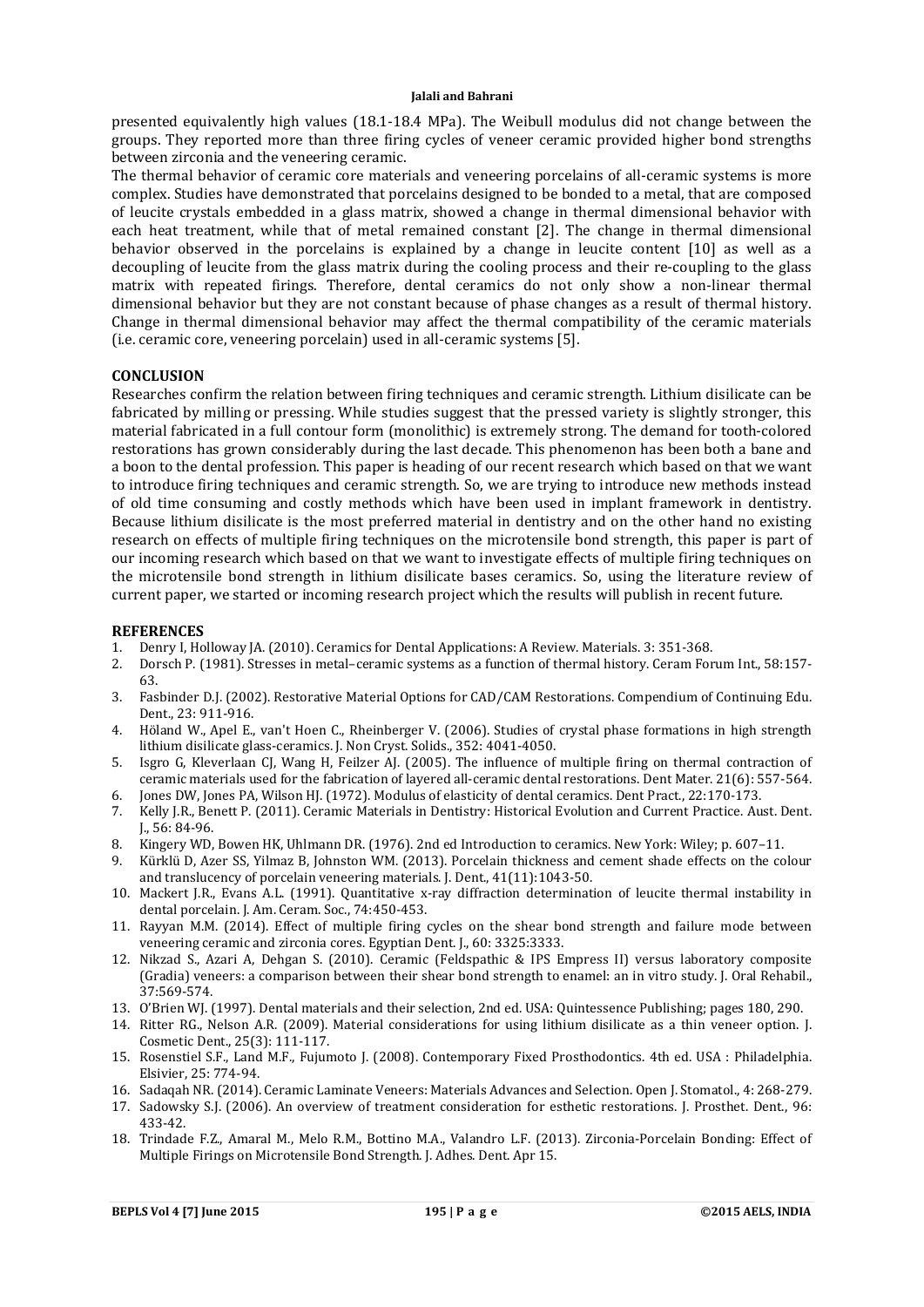presented equivalently high values (18.1-18.4 MPa). The Weibull modulus did not change between the groups. They reported more than three firing cycles of veneer ceramic provided higher bond strengths between zirconia and the veneering ceramic.

The thermal behavior of ceramic core materials and veneering porcelains of all-ceramic systems is more complex. Studies have demonstrated that porcelains designed to be bonded to a metal, that are composed of leucite crystals embedded in a glass matrix, showed a change in thermal dimensional behavior with each heat treatment, while that of metal remained constant [2]. The change in thermal dimensional behavior observed in the porcelains is explained by a change in leucite content [10] as well as a decoupling of leucite from the glass matrix during the cooling process and their re-coupling to the glass matrix with repeated firings. Therefore, dental ceramics do not only show a non-linear thermal dimensional behavior but they are not constant because of phase changes as a result of thermal history. Change in thermal dimensional behavior may affect the thermal compatibility of the ceramic materials (i.e. ceramic core, veneering porcelain) used in all-ceramic systems [5].

#### **CONCLUSION**

Researches confirm the relation between firing techniques and ceramic strength. Lithium disilicate can be fabricated by milling or pressing. While studies suggest that the pressed variety is slightly stronger, this material fabricated in a full contour form (monolithic) is extremely strong. The demand for tooth-colored restorations has grown considerably during the last decade. This phenomenon has been both a bane and a boon to the dental profession. This paper is heading of our recent research which based on that we want to introduce firing techniques and ceramic strength. So, we are trying to introduce new methods instead of old time consuming and costly methods which have been used in implant framework in dentistry. Because lithium disilicate is the most preferred material in dentistry and on the other hand no existing research on effects of multiple firing techniques on the microtensile bond strength, this paper is part of our incoming research which based on that we want to investigate effects of multiple firing techniques on the microtensile bond strength in lithium disilicate bases ceramics. So, using the literature review of current paper, we started or incoming research project which the results will publish in recent future.

#### **REFERENCES**

- 1. Denry I, Holloway JA. (2010). Ceramics for Dental Applications: A Review. Materials. 3: 351-368.
- 2. Dorsch P. (1981). Stresses in metal–ceramic systems as a function of thermal history. Ceram Forum Int., 58:157- 63.
- 3. Fasbinder D.J. (2002). Restorative Material Options for CAD/CAM Restorations. Compendium of Continuing Edu. Dent., 23: 911-916.
- 4. Höland W., Apel E., van't Hoen C., Rheinberger V. (2006). Studies of crystal phase formations in high strength lithium disilicate glass-ceramics. J. Non Cryst. Solids., 352: 4041-4050.
- 5. Isgro G, Kleverlaan CJ, Wang H, Feilzer AJ. (2005). The influence of multiple firing on thermal contraction of ceramic materials used for the fabrication of layered all-ceramic dental restorations. Dent Mater. 21(6): 557-564.
- 6. Jones DW, Jones PA, Wilson HJ. (1972). Modulus of elasticity of dental ceramics. Dent Pract., 22:170-173.
- 7. Kelly J.R., Benett P. (2011). Ceramic Materials in Dentistry: Historical Evolution and Current Practice. Aust. Dent. J., 56: 84-96.
- 8. Kingery WD, Bowen HK, Uhlmann DR. (1976). 2nd ed Introduction to ceramics. New York: Wiley; p. 607–11.
- 9. Kürklü D, Azer SS, Yilmaz B, Johnston WM. (2013). Porcelain thickness and cement shade effects on the colour and translucency of porcelain veneering materials. J. Dent., 41(11):1043-50.
- 10. Mackert J.R., Evans A.L. (1991). Quantitative x-ray diffraction determination of leucite thermal instability in dental porcelain. J. Am. Ceram. Soc., 74:450-453.
- 11. Rayyan M.M. (2014). Effect of multiple firing cycles on the shear bond strength and failure mode between veneering ceramic and zirconia cores. Egyptian Dent. J., 60: 3325:3333.
- 12. Nikzad S., Azari A, Dehgan S. (2010). Ceramic (Feldspathic & IPS Empress II) versus laboratory composite (Gradia) veneers: a comparison between their shear bond strength to enamel: an in vitro study. J. Oral Rehabil., 37:569-574.
- 13. O'Brien WJ. (1997). Dental materials and their selection, 2nd ed. USA: Quintessence Publishing; pages 180, 290.
- 14. Ritter RG., Nelson A.R. (2009). Material considerations for using lithium disilicate as a thin veneer option. J. Cosmetic Dent., 25(3): 111-117.
- 15. Rosenstiel S.F., Land M.F., Fujumoto J. (2008). Contemporary Fixed Prosthodontics. 4th ed. USA : Philadelphia. Elsivier, 25: 774-94.
- 16. Sadaqah NR. (2014). Ceramic Laminate Veneers: Materials Advances and Selection. Open J. Stomatol., 4: 268-279.
- 17. Sadowsky S.J. (2006). An overview of treatment consideration for esthetic restorations. J. Prosthet. Dent., 96: 433-42.
- 18. Trindade F.Z., Amaral M., Melo R.M., Bottino M.A., Valandro L.F. (2013). Zirconia-Porcelain Bonding: Effect of Multiple Firings on Microtensile Bond Strength. J. Adhes. Dent. Apr 15.